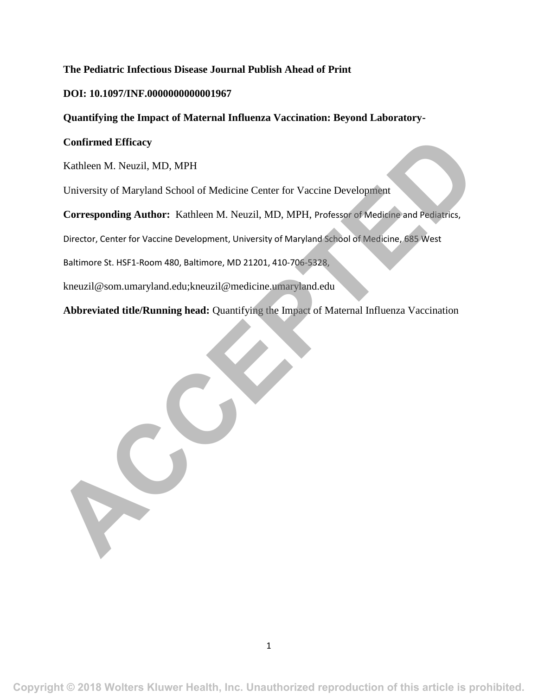# **The Pediatric Infectious Disease Journal Publish Ahead of Print**

### **DOI: 10.1097/INF.0000000000001967**

# **Quantifying the Impact of Maternal Influenza Vaccination: Beyond Laboratory-**

#### **Confirmed Efficacy**

Kathleen M. Neuzil, MD, MPH

University of Maryland School of Medicine Center for Vaccine Development

**Corresponding Author:** Kathleen M. Neuzil, MD, MPH, Professor of Medicine and Pediatrics, Confirmed Efficacy<br>
Kathleen M. Neuzil, MD, MPH<br>
University of Maryland School of Medicine Center for Vaccine Development<br>
Corresponding Author: Kathleen M. Neuzil, MD, MPH, Professor of Medicine and Pediatrics,<br>
Director,

Director, Center for Vaccine Development, University of Maryland School of Medicine, 685 West

Baltimore St. HSF1-Room 480, Baltimore, MD 21201, 410-706-5328,

kneuzil@som.umaryland.edu;kneuzil@medicine.umaryland.edu

**Abbreviated title/Running head:** Quantifying the Impact of Maternal Influenza Vaccination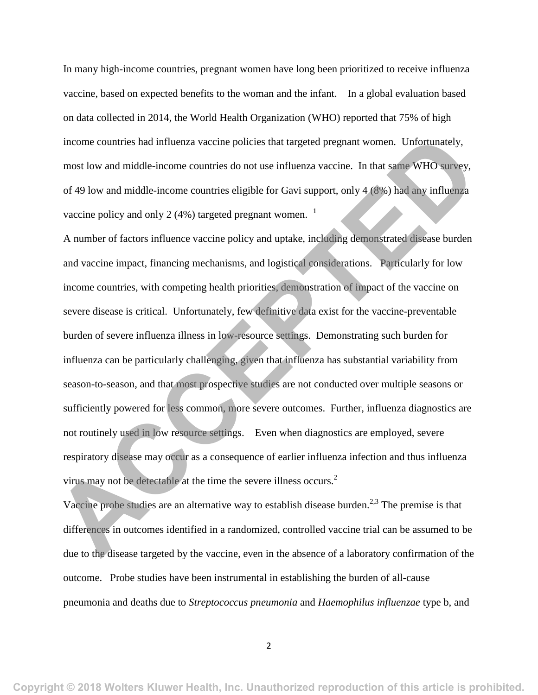In many high-income countries, pregnant women have long been prioritized to receive influenza vaccine, based on expected benefits to the woman and the infant. In a global evaluation based on data collected in 2014, the World Health Organization (WHO) reported that 75% of high income countries had influenza vaccine policies that targeted pregnant women. Unfortunately, most low and middle-income countries do not use influenza vaccine. In that same WHO survey, of 49 low and middle-income countries eligible for Gavi support, only 4 (8%) had any influenza vaccine policy and only 2 (4%) targeted pregnant women.  $1$ 

A number of factors influence vaccine policy and uptake, including demonstrated disease burden and vaccine impact, financing mechanisms, and logistical considerations. Particularly for low income countries, with competing health priorities, demonstration of impact of the vaccine on severe disease is critical. Unfortunately, few definitive data exist for the vaccine-preventable burden of severe influenza illness in low-resource settings. Demonstrating such burden for influenza can be particularly challenging, given that influenza has substantial variability from season-to-season, and that most prospective studies are not conducted over multiple seasons or sufficiently powered for less common, more severe outcomes. Further, influenza diagnostics are not routinely used in low resource settings. Even when diagnostics are employed, severe respiratory disease may occur as a consequence of earlier influenza infection and thus influenza virus may not be detectable at the time the severe illness occurs.<sup>2</sup> income countries had influenza vaccine policies that targeted pregnant women. Unfortunately,<br>most low and middle-income countries do not use influenza vaccine. In that same WHO survey,<br>of 49 low and middle-income countries

Vaccine probe studies are an alternative way to establish disease burden.<sup>2,3</sup> The premise is that differences in outcomes identified in a randomized, controlled vaccine trial can be assumed to be due to the disease targeted by the vaccine, even in the absence of a laboratory confirmation of the outcome. Probe studies have been instrumental in establishing the burden of all-cause pneumonia and deaths due to *Streptococcus pneumonia* and *Haemophilus influenzae* type b, and

2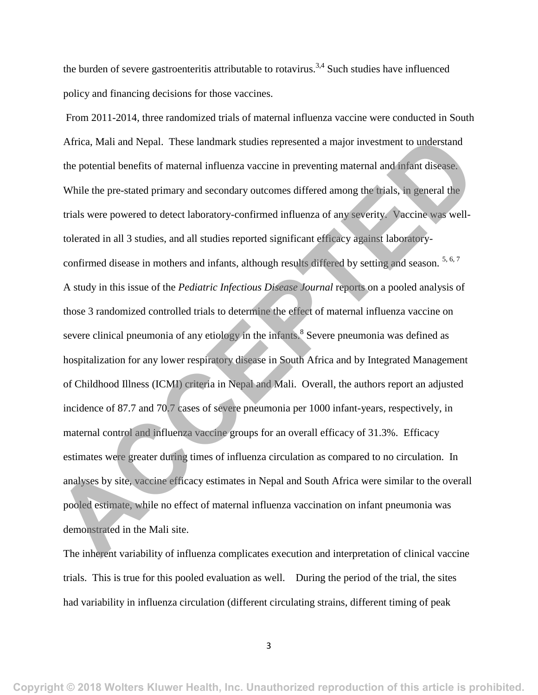the burden of severe gastroenteritis attributable to rotavirus.<sup>3,4</sup> Such studies have influenced policy and financing decisions for those vaccines.

From 2011-2014, three randomized trials of maternal influenza vaccine were conducted in South Africa, Mali and Nepal. These landmark studies represented a major investment to understand the potential benefits of maternal influenza vaccine in preventing maternal and infant disease. While the pre-stated primary and secondary outcomes differed among the trials, in general the trials were powered to detect laboratory-confirmed influenza of any severity. Vaccine was welltolerated in all 3 studies, and all studies reported significant efficacy against laboratoryconfirmed disease in mothers and infants, although results differed by setting and season.  $5, 6, 7$ A study in this issue of the *Pediatric Infectious Disease Journal* reports on a pooled analysis of those 3 randomized controlled trials to determine the effect of maternal influenza vaccine on severe clinical pneumonia of any etiology in the infants.<sup>8</sup> Severe pneumonia was defined as hospitalization for any lower respiratory disease in South Africa and by Integrated Management of Childhood Illness (ICMI) criteria in Nepal and Mali. Overall, the authors report an adjusted incidence of 87.7 and 70.7 cases of severe pneumonia per 1000 infant-years, respectively, in maternal control and influenza vaccine groups for an overall efficacy of 31.3%. Efficacy estimates were greater during times of influenza circulation as compared to no circulation. In analyses by site, vaccine efficacy estimates in Nepal and South Africa were similar to the overall pooled estimate, while no effect of maternal influenza vaccination on infant pneumonia was demonstrated in the Mali site. Africa, Mali and Nepal. These landmark studies represented a major investment to understand<br>the potential benefits of maternal influenza vaccine in preventing maternal and infant disease.<br>While the pre-stated primary and s

The inherent variability of influenza complicates execution and interpretation of clinical vaccine trials. This is true for this pooled evaluation as well. During the period of the trial, the sites had variability in influenza circulation (different circulating strains, different timing of peak

3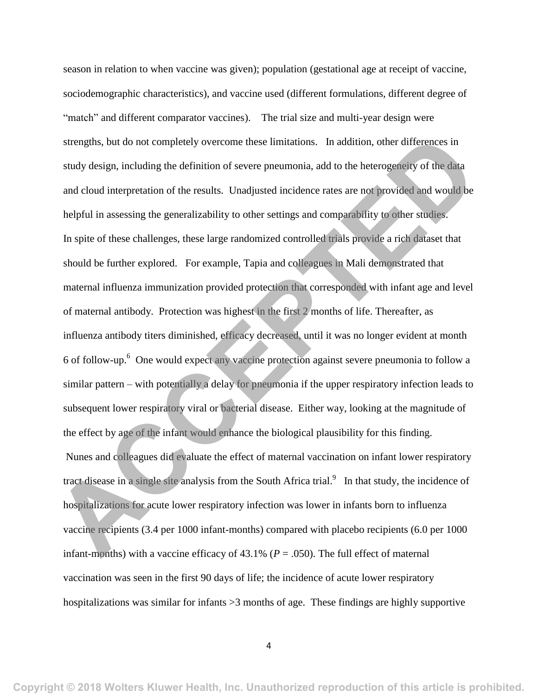season in relation to when vaccine was given); population (gestational age at receipt of vaccine, sociodemographic characteristics), and vaccine used (different formulations, different degree of "match" and different comparator vaccines). The trial size and multi-year design were strengths, but do not completely overcome these limitations. In addition, other differences in study design, including the definition of severe pneumonia, add to the heterogeneity of the data and cloud interpretation of the results. Unadjusted incidence rates are not provided and would be helpful in assessing the generalizability to other settings and comparability to other studies. In spite of these challenges, these large randomized controlled trials provide a rich dataset that should be further explored. For example, Tapia and colleagues in Mali demonstrated that maternal influenza immunization provided protection that corresponded with infant age and level of maternal antibody. Protection was highest in the first 2 months of life. Thereafter, as influenza antibody titers diminished, efficacy decreased, until it was no longer evident at month 6 of follow-up. 6 One would expect any vaccine protection against severe pneumonia to follow a similar pattern – with potentially a delay for pneumonia if the upper respiratory infection leads to subsequent lower respiratory viral or bacterial disease. Either way, looking at the magnitude of the effect by age of the infant would enhance the biological plausibility for this finding. Nunes and colleagues did evaluate the effect of maternal vaccination on infant lower respiratory tract disease in a single site analysis from the South Africa trial.<sup>9</sup> In that study, the incidence of hospitalizations for acute lower respiratory infection was lower in infants born to influenza vaccine recipients (3.4 per 1000 infant-months) compared with placebo recipients (6.0 per 1000 infant-months) with a vaccine efficacy of  $43.1\%$  ( $P = .050$ ). The full effect of maternal vaccination was seen in the first 90 days of life; the incidence of acute lower respiratory hospitalizations was similar for infants > 3 months of age. These findings are highly supportive strengths, but do not completely overcome these limitations. In addition, other differences in<br>study design, including the definition of severe pneumonia, add to the heterogeneity of the data<br>and cloud interpretation of t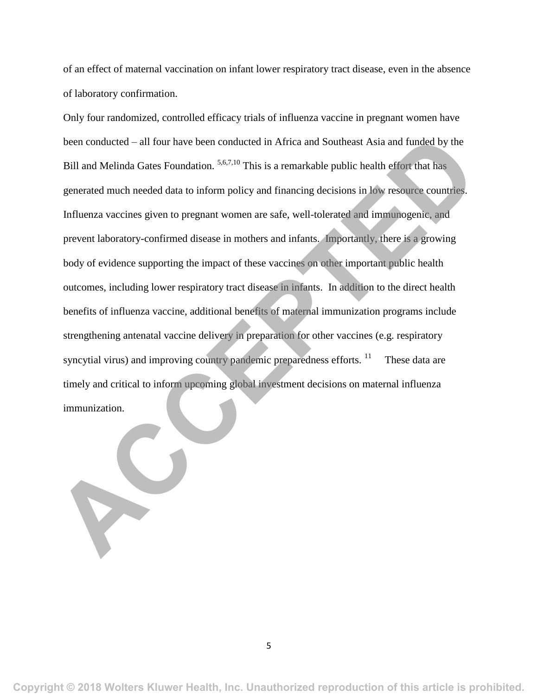of an effect of maternal vaccination on infant lower respiratory tract disease, even in the absence of laboratory confirmation.

Only four randomized, controlled efficacy trials of influenza vaccine in pregnant women have been conducted – all four have been conducted in Africa and Southeast Asia and funded by the Bill and Melinda Gates Foundation. <sup>5,6,7,10</sup> This is a remarkable public health effort that has generated much needed data to inform policy and financing decisions in low resource countries. Influenza vaccines given to pregnant women are safe, well-tolerated and immunogenic, and prevent laboratory-confirmed disease in mothers and infants. Importantly, there is a growing body of evidence supporting the impact of these vaccines on other important public health outcomes, including lower respiratory tract disease in infants. In addition to the direct health benefits of influenza vaccine, additional benefits of maternal immunization programs include strengthening antenatal vaccine delivery in preparation for other vaccines (e.g. respiratory syncytial virus) and improving country pandemic preparedness efforts.  $\frac{11}{11}$  These data are timely and critical to inform upcoming global investment decisions on maternal influenza immunization. been conducted – all four have been conducted in Africa and Southeast Asia and funded by the<br> **ACCEPTE ACCEPTE ACCEPTE ACCEPTE ACCEPTE ACCEPTE ACCEPTED**<br> **ACCEPTED**<br> **ACCEPTED**<br> **ACCEPTED**<br> **ACCEPTED**<br> **ACCEPTED**<br> **ACCEPTE**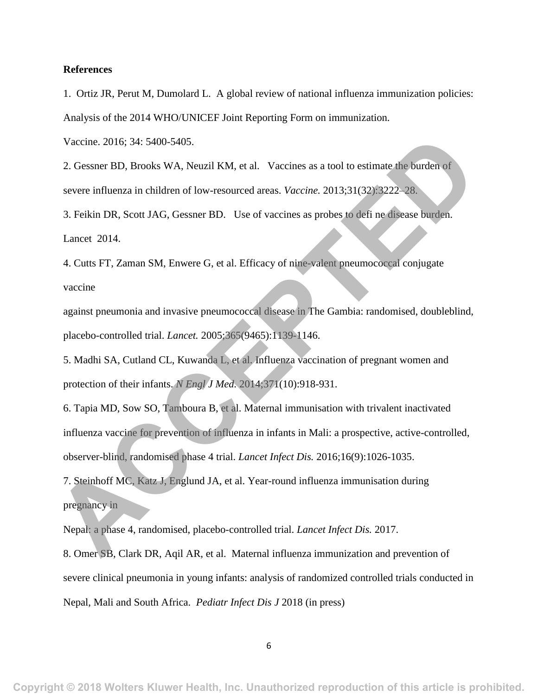#### **References**

1. Ortiz JR, Perut M, Dumolard L. A global review of national influenza immunization policies: Analysis of the 2014 WHO/UNICEF Joint Reporting Form on immunization.

Vaccine. 2016; 34: 5400-5405.

2. Gessner BD, Brooks WA, Neuzil KM, et al. Vaccines as a tool to estimate the burden of severe influenza in children of low-resourced areas. *Vaccine.* 2013;31(32):3222–28.

3. Feikin DR, Scott JAG, Gessner BD. Use of vaccines as probes to defi ne disease burden. Lancet 2014.

4. Cutts FT, Zaman SM, Enwere G, et al. Efficacy of nine-valent pneumococcal conjugate vaccine

against pneumonia and invasive pneumococcal disease in The Gambia: randomised, doubleblind, placebo-controlled trial. *Lancet.* 2005;365(9465):1139-1146.

5. Madhi SA, Cutland CL, Kuwanda L, et al. Influenza vaccination of pregnant women and protection of their infants. *N Engl J Med.* 2014;371(10):918-931.

6. Tapia MD, Sow SO, Tamboura B, et al. Maternal immunisation with trivalent inactivated influenza vaccine for prevention of influenza in infants in Mali: a prospective, active-controlled, observer-blind, randomised phase 4 trial. *Lancet Infect Dis.* 2016;16(9):1026-1035. Vaccine. 2016; 34: 5400-5405.<br>
2. Gessner BD, Brooks WA, Neuzil KM, et al. Vaccines as a tool to estimate the burden of<br>
severe influenza in children of low-resourced areas. *Vaccine*. 2013;31(32):3222-28.<br>
3. Feikin DR, S

7. Steinhoff MC, Katz J, Englund JA, et al. Year-round influenza immunisation during pregnancy in

Nepal: a phase 4, randomised, placebo-controlled trial. *Lancet Infect Dis.* 2017.

8. Omer SB, Clark DR, Aqil AR, et al. Maternal influenza immunization and prevention of severe clinical pneumonia in young infants: analysis of randomized controlled trials conducted in Nepal, Mali and South Africa. *Pediatr Infect Dis J* 2018 (in press)

6